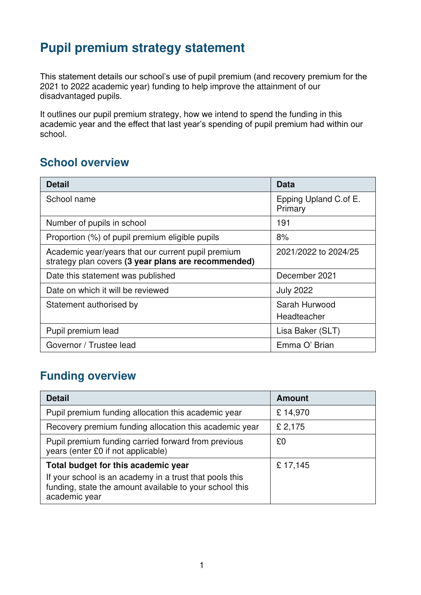## **Pupil premium strategy statement**

This statement details our school's use of pupil premium (and recovery premium for the 2021 to 2022 academic year) funding to help improve the attainment of our disadvantaged pupils.

It outlines our pupil premium strategy, how we intend to spend the funding in this academic year and the effect that last year's spending of pupil premium had within our school.

### **School overview**

| <b>Detail</b>                                                                                             | Data                             |
|-----------------------------------------------------------------------------------------------------------|----------------------------------|
| School name                                                                                               | Epping Upland C.of E.<br>Primary |
| Number of pupils in school                                                                                | 191                              |
| Proportion (%) of pupil premium eligible pupils                                                           | 8%                               |
| Academic year/years that our current pupil premium<br>strategy plan covers (3 year plans are recommended) | 2021/2022 to 2024/25             |
| Date this statement was published                                                                         | December 2021                    |
| Date on which it will be reviewed                                                                         | <b>July 2022</b>                 |
| Statement authorised by                                                                                   | Sarah Hurwood<br>Headteacher     |
| Pupil premium lead                                                                                        | Lisa Baker (SLT)                 |
| Governor / Trustee lead                                                                                   | Emma O' Brian                    |

### **Funding overview**

| <b>Detail</b>                                                                                                                       | <b>Amount</b> |
|-------------------------------------------------------------------------------------------------------------------------------------|---------------|
| Pupil premium funding allocation this academic year                                                                                 | £14,970       |
| Recovery premium funding allocation this academic year                                                                              | £ 2,175       |
| Pupil premium funding carried forward from previous<br>years (enter £0 if not applicable)                                           | £0            |
| Total budget for this academic year                                                                                                 | £17,145       |
| If your school is an academy in a trust that pools this<br>funding, state the amount available to your school this<br>academic year |               |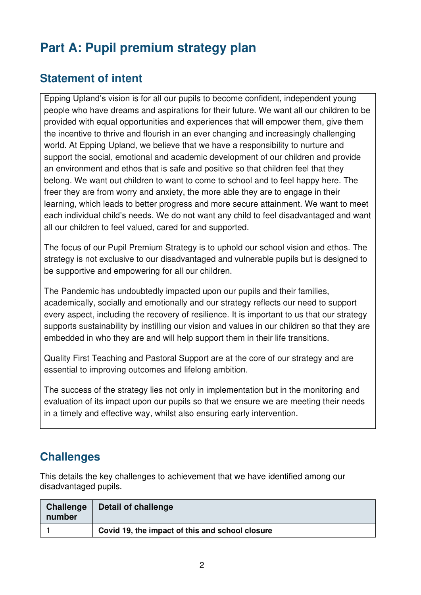# **Part A: Pupil premium strategy plan**

## **Statement of intent**

Epping Upland's vision is for all our pupils to become confident, independent young people who have dreams and aspirations for their future. We want all our children to be provided with equal opportunities and experiences that will empower them, give them the incentive to thrive and flourish in an ever changing and increasingly challenging world. At Epping Upland, we believe that we have a responsibility to nurture and support the social, emotional and academic development of our children and provide an environment and ethos that is safe and positive so that children feel that they belong. We want out children to want to come to school and to feel happy here. The freer they are from worry and anxiety, the more able they are to engage in their learning, which leads to better progress and more secure attainment. We want to meet each individual child's needs. We do not want any child to feel disadvantaged and want all our children to feel valued, cared for and supported.

The focus of our Pupil Premium Strategy is to uphold our school vision and ethos. The strategy is not exclusive to our disadvantaged and vulnerable pupils but is designed to be supportive and empowering for all our children.

The Pandemic has undoubtedly impacted upon our pupils and their families, academically, socially and emotionally and our strategy reflects our need to support every aspect, including the recovery of resilience. It is important to us that our strategy supports sustainability by instilling our vision and values in our children so that they are embedded in who they are and will help support them in their life transitions.

Quality First Teaching and Pastoral Support are at the core of our strategy and are essential to improving outcomes and lifelong ambition.

The success of the strategy lies not only in implementation but in the monitoring and evaluation of its impact upon our pupils so that we ensure we are meeting their needs in a timely and effective way, whilst also ensuring early intervention.

## **Challenges**

This details the key challenges to achievement that we have identified among our disadvantaged pupils.

| <b>Challenge</b><br>number | Detail of challenge                             |
|----------------------------|-------------------------------------------------|
|                            | Covid 19, the impact of this and school closure |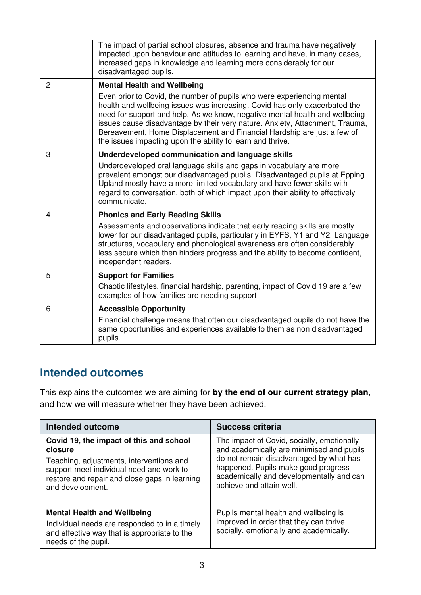|                | The impact of partial school closures, absence and trauma have negatively<br>impacted upon behaviour and attitudes to learning and have, in many cases,<br>increased gaps in knowledge and learning more considerably for our<br>disadvantaged pupils.                                                                                                                                     |
|----------------|--------------------------------------------------------------------------------------------------------------------------------------------------------------------------------------------------------------------------------------------------------------------------------------------------------------------------------------------------------------------------------------------|
| $\overline{2}$ | <b>Mental Health and Wellbeing</b><br>Even prior to Covid, the number of pupils who were experiencing mental<br>health and wellbeing issues was increasing. Covid has only exacerbated the<br>need for support and help. As we know, negative mental health and wellbeing                                                                                                                  |
|                | issues cause disadvantage by their very nature. Anxiety, Attachment, Trauma,<br>Bereavement, Home Displacement and Financial Hardship are just a few of<br>the issues impacting upon the ability to learn and thrive.                                                                                                                                                                      |
| 3              | Underdeveloped communication and language skills<br>Underdeveloped oral language skills and gaps in vocabulary are more<br>prevalent amongst our disadvantaged pupils. Disadvantaged pupils at Epping<br>Upland mostly have a more limited vocabulary and have fewer skills with<br>regard to conversation, both of which impact upon their ability to effectively<br>communicate.         |
| $\overline{4}$ | <b>Phonics and Early Reading Skills</b><br>Assessments and observations indicate that early reading skills are mostly<br>lower for our disadvantaged pupils, particularly in EYFS, Y1 and Y2. Language<br>structures, vocabulary and phonological awareness are often considerably<br>less secure which then hinders progress and the ability to become confident,<br>independent readers. |
| 5              | <b>Support for Families</b><br>Chaotic lifestyles, financial hardship, parenting, impact of Covid 19 are a few<br>examples of how families are needing support                                                                                                                                                                                                                             |
| 6              | <b>Accessible Opportunity</b><br>Financial challenge means that often our disadvantaged pupils do not have the<br>same opportunities and experiences available to them as non disadvantaged<br>pupils.                                                                                                                                                                                     |

### **Intended outcomes**

This explains the outcomes we are aiming for **by the end of our current strategy plan**, and how we will measure whether they have been achieved.

| <b>Intended outcome</b>                                                                                                                                                                                         | <b>Success criteria</b>                                                                                                                                                                                                                           |
|-----------------------------------------------------------------------------------------------------------------------------------------------------------------------------------------------------------------|---------------------------------------------------------------------------------------------------------------------------------------------------------------------------------------------------------------------------------------------------|
| Covid 19, the impact of this and school<br>closure<br>Teaching, adjustments, interventions and<br>support meet individual need and work to<br>restore and repair and close gaps in learning<br>and development. | The impact of Covid, socially, emotionally<br>and academically are minimised and pupils<br>do not remain disadvantaged by what has<br>happened. Pupils make good progress<br>academically and developmentally and can<br>achieve and attain well. |
| <b>Mental Health and Wellbeing</b><br>Individual needs are responded to in a timely<br>and effective way that is appropriate to the<br>needs of the pupil.                                                      | Pupils mental health and wellbeing is<br>improved in order that they can thrive<br>socially, emotionally and academically.                                                                                                                        |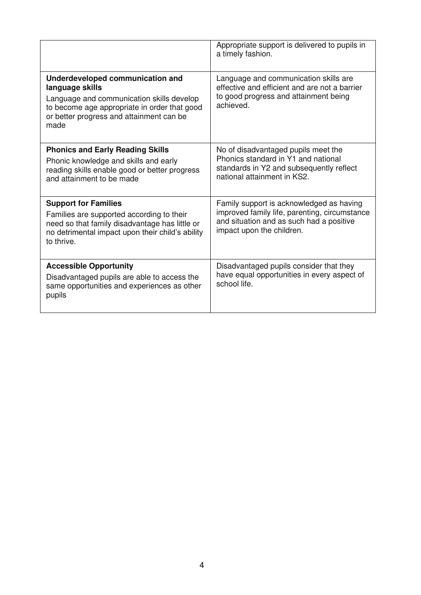|                                                                                                                                                                                                      | Appropriate support is delivered to pupils in<br>a timely fashion.                                                                                                 |
|------------------------------------------------------------------------------------------------------------------------------------------------------------------------------------------------------|--------------------------------------------------------------------------------------------------------------------------------------------------------------------|
| Underdeveloped communication and<br>language skills<br>Language and communication skills develop<br>to become age appropriate in order that good<br>or better progress and attainment can be<br>made | Language and communication skills are<br>effective and efficient and are not a barrier<br>to good progress and attainment being<br>achieved.                       |
| <b>Phonics and Early Reading Skills</b><br>Phonic knowledge and skills and early<br>reading skills enable good or better progress<br>and attainment to be made                                       | No of disadvantaged pupils meet the<br>Phonics standard in Y1 and national<br>standards in Y2 and subsequently reflect<br>national attainment in KS2.              |
| <b>Support for Families</b><br>Families are supported according to their<br>need so that family disadvantage has little or<br>no detrimental impact upon their child's ability<br>to thrive.         | Family support is acknowledged as having<br>improved family life, parenting, circumstance<br>and situation and as such had a positive<br>impact upon the children. |
| <b>Accessible Opportunity</b><br>Disadvantaged pupils are able to access the<br>same opportunities and experiences as other<br>pupils                                                                | Disadvantaged pupils consider that they<br>have equal opportunities in every aspect of<br>school life.                                                             |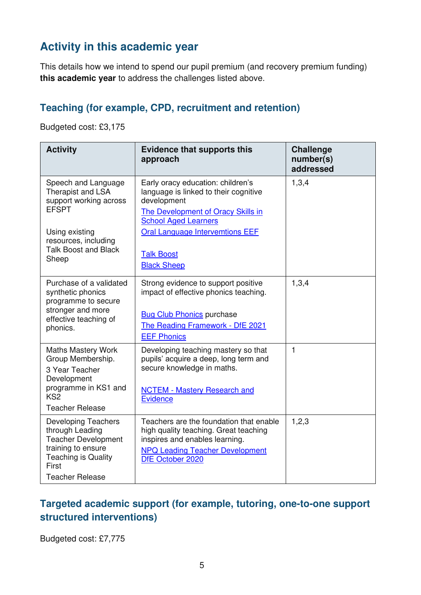## **Activity in this academic year**

This details how we intend to spend our pupil premium (and recovery premium funding) **this academic year** to address the challenges listed above.

#### **Teaching (for example, CPD, recruitment and retention)**

Budgeted cost: £3,175

| <b>Activity</b>                                                                                                                                                      | <b>Evidence that supports this</b><br>approach                                                                                                                                                                                                      | <b>Challenge</b><br>number(s)<br>addressed |
|----------------------------------------------------------------------------------------------------------------------------------------------------------------------|-----------------------------------------------------------------------------------------------------------------------------------------------------------------------------------------------------------------------------------------------------|--------------------------------------------|
| Speech and Language<br>Therapist and LSA<br>support working across<br><b>EFSPT</b><br>Using existing<br>resources, including<br><b>Talk Boost and Black</b><br>Sheep | Early oracy education: children's<br>language is linked to their cognitive<br>development<br>The Development of Oracy Skills in<br><b>School Aged Learners</b><br><b>Oral Language Intervemtions EEF</b><br><b>Talk Boost</b><br><b>Black Sheep</b> | 1,3,4                                      |
| Purchase of a validated<br>synthetic phonics<br>programme to secure<br>stronger and more<br>effective teaching of<br>phonics.                                        | Strong evidence to support positive<br>impact of effective phonics teaching.<br><b>Bug Club Phonics purchase</b><br>The Reading Framework - DfE 2021<br><b>EEF Phonics</b>                                                                          | 1,3,4                                      |
| <b>Maths Mastery Work</b><br>Group Membership.<br>3 Year Teacher<br>Development<br>programme in KS1 and<br>KS <sub>2</sub><br><b>Teacher Release</b>                 | Developing teaching mastery so that<br>pupils' acquire a deep, long term and<br>secure knowledge in maths.<br><b>NCTEM - Mastery Research and</b><br><b>Evidence</b>                                                                                | $\mathbf{1}$                               |
| <b>Developing Teachers</b><br>through Leading<br><b>Teacher Development</b><br>training to ensure<br><b>Teaching is Quality</b><br>First<br><b>Teacher Release</b>   | Teachers are the foundation that enable<br>high quality teaching. Great teaching<br>inspires and enables learning.<br><b>NPQ Leading Teacher Development</b><br>DfE October 2020                                                                    | 1, 2, 3                                    |

### **Targeted academic support (for example, tutoring, one-to-one support structured interventions)**

Budgeted cost: £7,775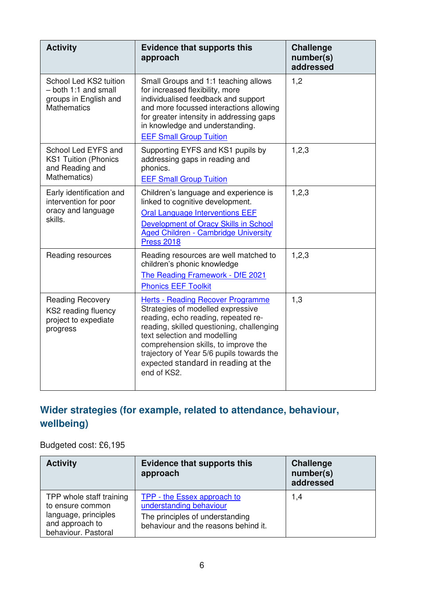| <b>Activity</b>                                                                               | <b>Evidence that supports this</b><br>approach                                                                                                                                                                                                                                                                                               | <b>Challenge</b><br>number(s)<br>addressed |
|-----------------------------------------------------------------------------------------------|----------------------------------------------------------------------------------------------------------------------------------------------------------------------------------------------------------------------------------------------------------------------------------------------------------------------------------------------|--------------------------------------------|
| School Led KS2 tuition<br>- both 1:1 and small<br>groups in English and<br><b>Mathematics</b> | Small Groups and 1:1 teaching allows<br>for increased flexibility, more<br>individualised feedback and support<br>and more focussed interactions allowing<br>for greater intensity in addressing gaps<br>in knowledge and understanding.<br><b>EEF Small Group Tuition</b>                                                                   | 1,2                                        |
| School Led EYFS and<br><b>KS1 Tuition (Phonics</b><br>and Reading and<br>Mathematics)         | Supporting EYFS and KS1 pupils by<br>addressing gaps in reading and<br>phonics.<br><b>EEF Small Group Tuition</b>                                                                                                                                                                                                                            | 1,2,3                                      |
| Early identification and<br>intervention for poor<br>oracy and language<br>skills.            | Children's language and experience is<br>linked to cognitive development.<br><b>Oral Language Interventions EEF</b><br>Development of Oracy Skills in School<br><b>Aged Children - Cambridge University</b><br><b>Press 2018</b>                                                                                                             | 1,2,3                                      |
| Reading resources                                                                             | Reading resources are well matched to<br>children's phonic knowledge<br>The Reading Framework - DfE 2021<br><b>Phonics EEF Toolkit</b>                                                                                                                                                                                                       | 1,2,3                                      |
| <b>Reading Recovery</b><br>KS2 reading fluency<br>project to expediate<br>progress            | <b>Herts - Reading Recover Programme</b><br>Strategies of modelled expressive<br>reading, echo reading, repeated re-<br>reading, skilled questioning, challenging<br>text selection and modelling<br>comprehension skills, to improve the<br>trajectory of Year 5/6 pupils towards the<br>expected standard in reading at the<br>end of KS2. | 1,3                                        |

## **Wider strategies (for example, related to attendance, behaviour, wellbeing)**

Budgeted cost: £6,195

| <b>Activity</b>                                                                                                | <b>Evidence that supports this</b><br>approach                                                                                           | <b>Challenge</b><br>number(s)<br>addressed |
|----------------------------------------------------------------------------------------------------------------|------------------------------------------------------------------------------------------------------------------------------------------|--------------------------------------------|
| TPP whole staff training<br>to ensure common<br>language, principles<br>and approach to<br>behaviour. Pastoral | <b>TPP - the Essex approach to</b><br>understanding behaviour<br>The principles of understanding<br>behaviour and the reasons behind it. | 1,4                                        |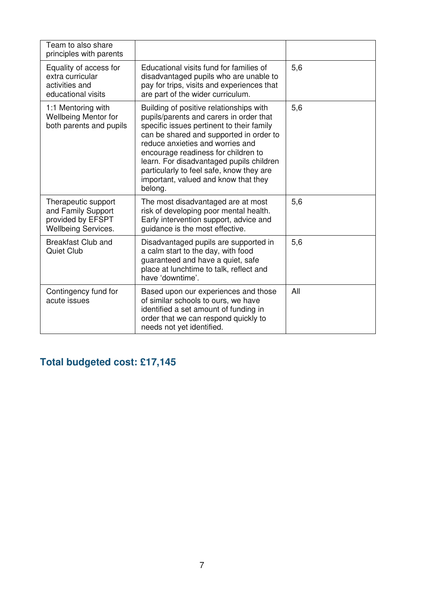| Team to also share<br>principles with parents                                                |                                                                                                                                                                                                                                                                                                                                                                                                  |     |
|----------------------------------------------------------------------------------------------|--------------------------------------------------------------------------------------------------------------------------------------------------------------------------------------------------------------------------------------------------------------------------------------------------------------------------------------------------------------------------------------------------|-----|
| Equality of access for<br>extra curricular<br>activities and<br>educational visits           | Educational visits fund for families of<br>disadvantaged pupils who are unable to<br>pay for trips, visits and experiences that<br>are part of the wider curriculum.                                                                                                                                                                                                                             | 5,6 |
| 1:1 Mentoring with<br><b>Wellbeing Mentor for</b><br>both parents and pupils                 | Building of positive relationships with<br>pupils/parents and carers in order that<br>specific issues pertinent to their family<br>can be shared and supported in order to<br>reduce anxieties and worries and<br>encourage readiness for children to<br>learn. For disadvantaged pupils children<br>particularly to feel safe, know they are<br>important, valued and know that they<br>belong. | 5,6 |
| Therapeutic support<br>and Family Support<br>provided by EFSPT<br><b>Wellbeing Services.</b> | The most disadvantaged are at most<br>risk of developing poor mental health.<br>Early intervention support, advice and<br>guidance is the most effective.                                                                                                                                                                                                                                        | 5,6 |
| <b>Breakfast Club and</b><br>Quiet Club                                                      | Disadvantaged pupils are supported in<br>a calm start to the day, with food<br>guaranteed and have a quiet, safe<br>place at lunchtime to talk, reflect and<br>have 'downtime'.                                                                                                                                                                                                                  | 5,6 |
| Contingency fund for<br>acute issues                                                         | Based upon our experiences and those<br>of similar schools to ours, we have<br>identified a set amount of funding in<br>order that we can respond quickly to<br>needs not yet identified.                                                                                                                                                                                                        | All |

# **Total budgeted cost: £17,145**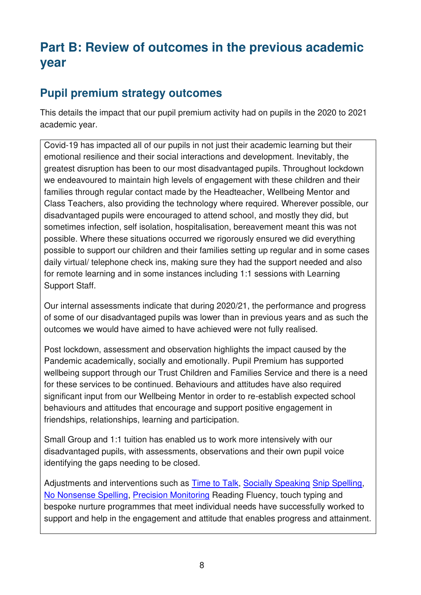## **Part B: Review of outcomes in the previous academic year**

## **Pupil premium strategy outcomes**

This details the impact that our pupil premium activity had on pupils in the 2020 to 2021 academic year.

Covid-19 has impacted all of our pupils in not just their academic learning but their emotional resilience and their social interactions and development. Inevitably, the greatest disruption has been to our most disadvantaged pupils. Throughout lockdown we endeavoured to maintain high levels of engagement with these children and their families through regular contact made by the Headteacher, Wellbeing Mentor and Class Teachers, also providing the technology where required. Wherever possible, our disadvantaged pupils were encouraged to attend school, and mostly they did, but sometimes infection, self isolation, hospitalisation, bereavement meant this was not possible. Where these situations occurred we rigorously ensured we did everything possible to support our children and their families setting up regular and in some cases daily virtual/ telephone check ins, making sure they had the support needed and also for remote learning and in some instances including 1:1 sessions with Learning Support Staff.

Our internal assessments indicate that during 2020/21, the performance and progress of some of our disadvantaged pupils was lower than in previous years and as such the outcomes we would have aimed to have achieved were not fully realised.

Post lockdown, assessment and observation highlights the impact caused by the Pandemic academically, socially and emotionally. Pupil Premium has supported wellbeing support through our Trust Children and Families Service and there is a need for these services to be continued. Behaviours and attitudes have also required significant input from our Wellbeing Mentor in order to re-establish expected school behaviours and attitudes that encourage and support positive engagement in friendships, relationships, learning and participation.

Small Group and 1:1 tuition has enabled us to work more intensively with our disadvantaged pupils, with assessments, observations and their own pupil voice identifying the gaps needing to be closed.

Adjustments and interventions such as [Time to Talk,](https://www.integratedtreatmentservices.co.uk/our-approaches/speech-therapy-approaches/time-talk/#:~:text=What%20is%20the%20approach%3F,to%20three%20times%20each%20week.) [Socially Speaking](https://www.ldalearning.com/product/social,-emotional-and-mental-health/social-skills/games/socially-speaking/admt00416) [Snip Spelling,](http://www.snip-newsletter.co.uk/pdfs/downloads/literacy_programme_1.pdf) [No Nonsense Spelling,](https://www.raintree.co.uk/books/no-nonsense-spelling-paperback/) [Precision Monitoring](https://www.suffolk.gov.uk/assets/Children-families-and-learning/Psychology-and-Therapeutic-Services/Inclusion-Facilitators/Precision-Monitoring-Info-Flyer.pdf) Reading Fluency, touch typing and bespoke nurture programmes that meet individual needs have successfully worked to support and help in the engagement and attitude that enables progress and attainment.